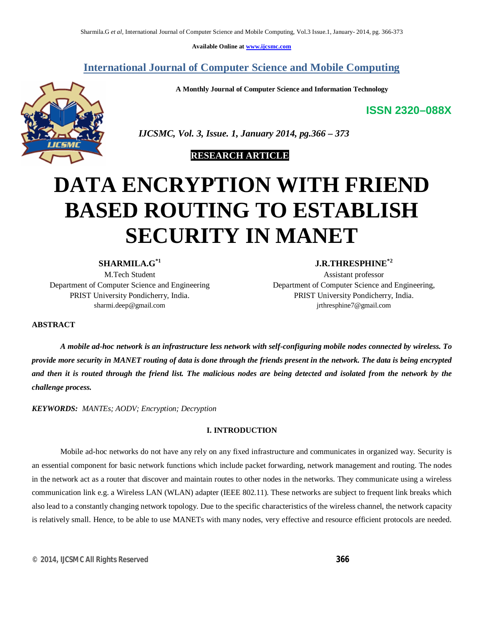**Available Online at www.ijcsmc.com**

# **International Journal of Computer Science and Mobile Computing**

**A Monthly Journal of Computer Science and Information Technology**

**ISSN 2320–088X**



 *IJCSMC, Vol. 3, Issue. 1, January 2014, pg.366 – 373*

 **RESEARCH ARTICLE**

# **DATA ENCRYPTION WITH FRIEND BASED ROUTING TO ESTABLISH SECURITY IN MANET**

**SHARMILA.G\*1**

M.Tech Student Department of Computer Science and Engineering PRIST University Pondicherry, India. sharmi.deep@gmail.com

**J.R.THRESPHINE\*2**

Assistant professor Department of Computer Science and Engineering, PRIST University Pondicherry, India. jrthresphine7@gmail.com

**ABSTRACT**

*A mobile ad-hoc network is an infrastructure less network with self-configuring mobile nodes connected by wireless. To provide more security in MANET routing of data is done through the friends present in the network. The data is being encrypted and then it is routed through the friend list. The malicious nodes are being detected and isolated from the network by the challenge process.*

*KEYWORDS: MANTEs; AODV; Encryption; Decryption*

# **I. INTRODUCTION**

Mobile ad-hoc networks do not have any rely on any fixed infrastructure and communicates in organized way. Security is an essential component for basic network functions which include packet forwarding, network management and routing. The nodes in the network act as a router that discover and maintain routes to other nodes in the networks. They communicate using a wireless communication link e.g. a Wireless LAN (WLAN) adapter (IEEE 802.11). These networks are subject to frequent link breaks which also lead to a constantly changing network topology. Due to the specific characteristics of the wireless channel, the network capacity is relatively small. Hence, to be able to use MANETs with many nodes, very effective and resource efficient protocols are needed.

*© 2014, IJCSMC All Rights Reserved 366*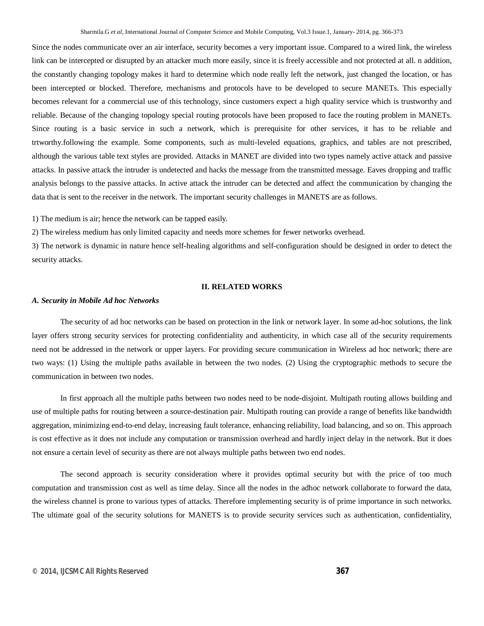Since the nodes communicate over an air interface, security becomes a very important issue. Compared to a wired link, the wireless link can be intercepted or disrupted by an attacker much more easily, since it is freely accessible and not protected at all. n addition, the constantly changing topology makes it hard to determine which node really left the network, just changed the location, or has been intercepted or blocked. Therefore, mechanisms and protocols have to be developed to secure MANETs. This especially becomes relevant for a commercial use of this technology, since customers expect a high quality service which is trustworthy and reliable. Because of the changing topology special routing protocols have been proposed to face the routing problem in MANETs. Since routing is a basic service in such a network, which is prerequisite for other services, it has to be reliable and trtworthy.following the example. Some components, such as multi-leveled equations, graphics, and tables are not prescribed, although the various table text styles are provided. Attacks in MANET are divided into two types namely active attack and passive attacks. In passive attack the intruder is undetected and hacks the message from the transmitted message. Eaves dropping and traffic analysis belongs to the passive attacks. In active attack the intruder can be detected and affect the communication by changing the data that is sent to the receiver in the network. The important security challenges in MANETS are as follows.

1) The medium is air; hence the network can be tapped easily.

2) The wireless medium has only limited capacity and needs more schemes for fewer networks overhead.

3) The network is dynamic in nature hence self-healing algorithms and self-configuration should be designed in order to detect the security attacks.

## **II. RELATED WORKS**

#### *A. Security in Mobile Ad hoc Networks*

The security of ad hoc networks can be based on protection in the link or network layer. In some ad-hoc solutions, the link layer offers strong security services for protecting confidentiality and authenticity, in which case all of the security requirements need not be addressed in the network or upper layers. For providing secure communication in Wireless ad hoc network; there are two ways: (1) Using the multiple paths available in between the two nodes. (2) Using the cryptographic methods to secure the communication in between two nodes.

In first approach all the multiple paths between two nodes need to be node-disjoint. Multipath routing allows building and use of multiple paths for routing between a source-destination pair. Multipath routing can provide a range of benefits like bandwidth aggregation, minimizing end-to-end delay, increasing fault tolerance, enhancing reliability, load balancing, and so on. This approach is cost effective as it does not include any computation or transmission overhead and hardly inject delay in the network. But it does not ensure a certain level of security as there are not always multiple paths between two end nodes.

The second approach is security consideration where it provides optimal security but with the price of too much computation and transmission cost as well as time delay. Since all the nodes in the adhoc network collaborate to forward the data, the wireless channel is prone to various types of attacks. Therefore implementing security is of prime importance in such networks. The ultimate goal of the security solutions for MANETS is to provide security services such as authentication, confidentiality,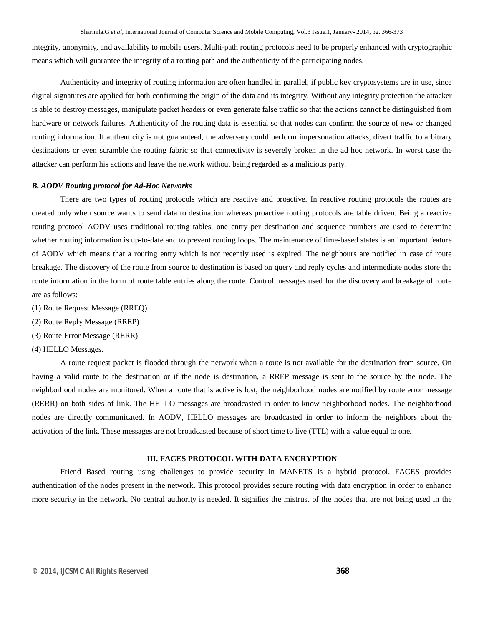integrity, anonymity, and availability to mobile users. Multi-path routing protocols need to be properly enhanced with cryptographic means which will guarantee the integrity of a routing path and the authenticity of the participating nodes.

Authenticity and integrity of routing information are often handled in parallel, if public key cryptosystems are in use, since digital signatures are applied for both confirming the origin of the data and its integrity. Without any integrity protection the attacker is able to destroy messages, manipulate packet headers or even generate false traffic so that the actions cannot be distinguished from hardware or network failures. Authenticity of the routing data is essential so that nodes can confirm the source of new or changed routing information. If authenticity is not guaranteed, the adversary could perform impersonation attacks, divert traffic to arbitrary destinations or even scramble the routing fabric so that connectivity is severely broken in the ad hoc network. In worst case the attacker can perform his actions and leave the network without being regarded as a malicious party.

#### *B. AODV Routing protocol for Ad-Hoc Networks*

There are two types of routing protocols which are reactive and proactive. In reactive routing protocols the routes are created only when source wants to send data to destination whereas proactive routing protocols are table driven. Being a reactive routing protocol AODV uses traditional routing tables, one entry per destination and sequence numbers are used to determine whether routing information is up-to-date and to prevent routing loops. The maintenance of time-based states is an important feature of AODV which means that a routing entry which is not recently used is expired. The neighbours are notified in case of route breakage. The discovery of the route from source to destination is based on query and reply cycles and intermediate nodes store the route information in the form of route table entries along the route. Control messages used for the discovery and breakage of route are as follows:

- (1) Route Request Message (RREQ)
- (2) Route Reply Message (RREP)
- (3) Route Error Message (RERR)
- (4) HELLO Messages.

A route request packet is flooded through the network when a route is not available for the destination from source. On having a valid route to the destination or if the node is destination, a RREP message is sent to the source by the node. The neighborhood nodes are monitored. When a route that is active is lost, the neighborhood nodes are notified by route error message (RERR) on both sides of link. The HELLO messages are broadcasted in order to know neighborhood nodes. The neighborhood nodes are directly communicated. In AODV, HELLO messages are broadcasted in order to inform the neighbors about the activation of the link. These messages are not broadcasted because of short time to live (TTL) with a value equal to one.

#### **III. FACES PROTOCOL WITH DATA ENCRYPTION**

Friend Based routing using challenges to provide security in MANETS is a hybrid protocol. FACES provides authentication of the nodes present in the network. This protocol provides secure routing with data encryption in order to enhance more security in the network. No central authority is needed. It signifies the mistrust of the nodes that are not being used in the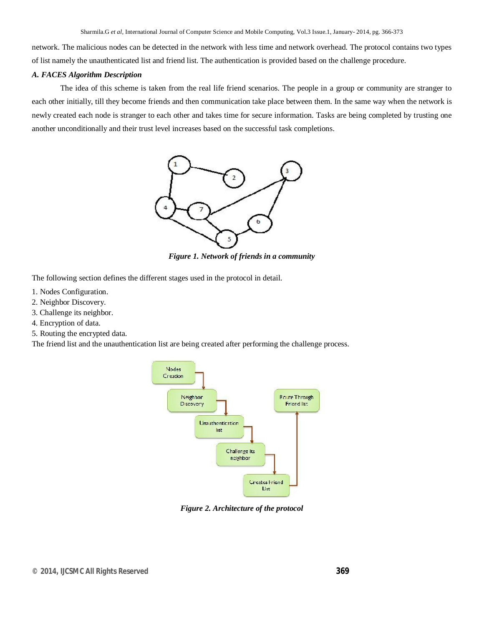network. The malicious nodes can be detected in the network with less time and network overhead. The protocol contains two types of list namely the unauthenticated list and friend list. The authentication is provided based on the challenge procedure.

## *A. FACES Algorithm Description*

The idea of this scheme is taken from the real life friend scenarios. The people in a group or community are stranger to each other initially, till they become friends and then communication take place between them. In the same way when the network is newly created each node is stranger to each other and takes time for secure information. Tasks are being completed by trusting one another unconditionally and their trust level increases based on the successful task completions.



*Figure 1. Network of friends in a community*

The following section defines the different stages used in the protocol in detail.

- 1. Nodes Configuration.
- 2. Neighbor Discovery.
- 3. Challenge its neighbor.
- 4. Encryption of data.
- 5. Routing the encrypted data.

The friend list and the unauthentication list are being created after performing the challenge process.



*Figure 2. Architecture of the protocol*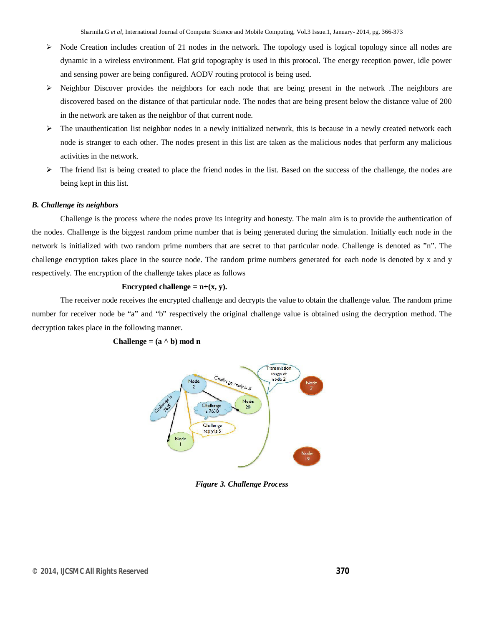- > Node Creation includes creation of 21 nodes in the network. The topology used is logical topology since all nodes are dynamic in a wireless environment. Flat grid topography is used in this protocol. The energy reception power, idle power and sensing power are being configured. AODV routing protocol is being used.
- $\triangleright$  Neighbor Discover provides the neighbors for each node that are being present in the network. The neighbors are discovered based on the distance of that particular node. The nodes that are being present below the distance value of 200 in the network are taken as the neighbor of that current node.
- $\triangleright$  The unauthentication list neighbor nodes in a newly initialized network, this is because in a newly created network each node is stranger to each other. The nodes present in this list are taken as the malicious nodes that perform any malicious activities in the network.
- $\triangleright$  The friend list is being created to place the friend nodes in the list. Based on the success of the challenge, the nodes are being kept in this list.

#### *B. Challenge its neighbors*

Challenge is the process where the nodes prove its integrity and honesty. The main aim is to provide the authentication of the nodes. Challenge is the biggest random prime number that is being generated during the simulation. Initially each node in the network is initialized with two random prime numbers that are secret to that particular node. Challenge is denoted as "n". The challenge encryption takes place in the source node. The random prime numbers generated for each node is denoted by x and y respectively. The encryption of the challenge takes place as follows

#### **Encrypted challenge =**  $n+(x, y)$ **.**

The receiver node receives the encrypted challenge and decrypts the value to obtain the challenge value. The random prime number for receiver node be "a" and "b" respectively the original challenge value is obtained using the decryption method. The decryption takes place in the following manner.

#### **Challenge** =  $(a \land b)$  mod n



*Figure 3. Challenge Process*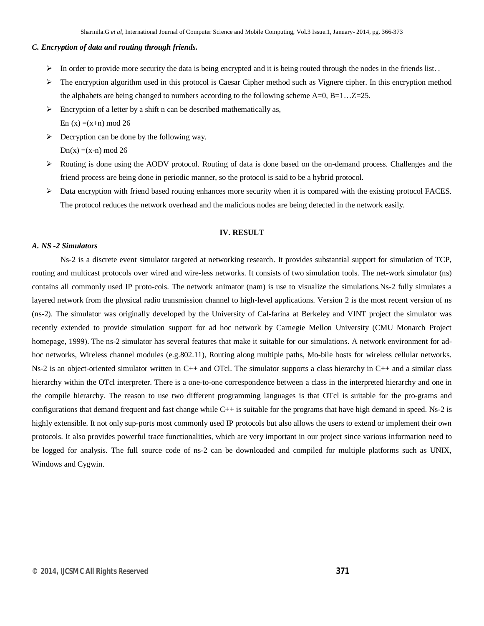#### *C. Encryption of data and routing through friends.*

- In order to provide more security the data is being encrypted and it is being routed through the nodes in the friends list.
- $\triangleright$  The encryption algorithm used in this protocol is Caesar Cipher method such as Vignere cipher. In this encryption method the alphabets are being changed to numbers according to the following scheme  $A=0$ ,  $B=1...Z=25$ .
- $\triangleright$  Encryption of a letter by a shift n can be described mathematically as, En  $(x) = (x+n) \mod 26$
- $\triangleright$  Decryption can be done by the following way.

 $Dn(x) = (x-n) \mod 26$ 

- $\triangleright$  Routing is done using the AODV protocol. Routing of data is done based on the on-demand process. Challenges and the friend process are being done in periodic manner, so the protocol is said to be a hybrid protocol.
- Data encryption with friend based routing enhances more security when it is compared with the existing protocol FACES. The protocol reduces the network overhead and the malicious nodes are being detected in the network easily.

#### **IV. RESULT**

#### *A. NS -2 Simulators*

Ns-2 is a discrete event simulator targeted at networking research. It provides substantial support for simulation of TCP, routing and multicast protocols over wired and wire-less networks. It consists of two simulation tools. The net-work simulator (ns) contains all commonly used IP proto-cols. The network animator (nam) is use to visualize the simulations.Ns-2 fully simulates a layered network from the physical radio transmission channel to high-level applications. Version 2 is the most recent version of ns (ns-2). The simulator was originally developed by the University of Cal-farina at Berkeley and VINT project the simulator was recently extended to provide simulation support for ad hoc network by Carnegie Mellon University (CMU Monarch Project homepage, 1999). The ns-2 simulator has several features that make it suitable for our simulations. A network environment for adhoc networks, Wireless channel modules (e.g.802.11), Routing along multiple paths, Mo-bile hosts for wireless cellular networks. Ns-2 is an object-oriented simulator written in C++ and OTcl. The simulator supports a class hierarchy in C++ and a similar class hierarchy within the OTcl interpreter. There is a one-to-one correspondence between a class in the interpreted hierarchy and one in the compile hierarchy. The reason to use two different programming languages is that OTcl is suitable for the pro-grams and configurations that demand frequent and fast change while C++ is suitable for the programs that have high demand in speed. Ns-2 is highly extensible. It not only sup-ports most commonly used IP protocols but also allows the users to extend or implement their own protocols. It also provides powerful trace functionalities, which are very important in our project since various information need to be logged for analysis. The full source code of ns-2 can be downloaded and compiled for multiple platforms such as UNIX, Windows and Cygwin.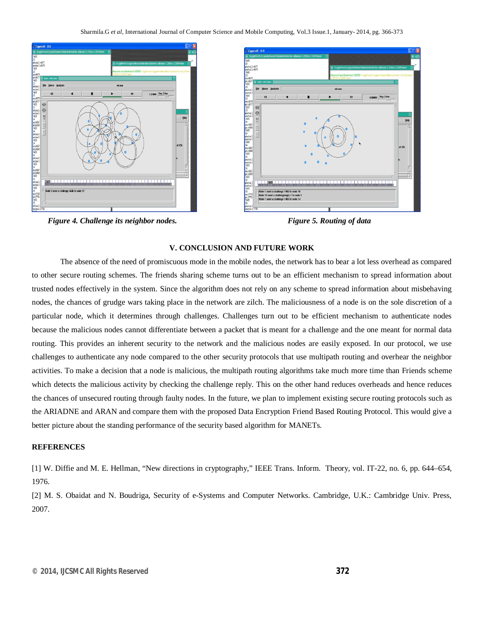

*Figure 4. Challenge its neighbor nodes.* Figure 5. Routing of data

#### **V. CONCLUSION AND FUTURE WORK**

The absence of the need of promiscuous mode in the mobile nodes, the network has to bear a lot less overhead as compared to other secure routing schemes. The friends sharing scheme turns out to be an efficient mechanism to spread information about trusted nodes effectively in the system. Since the algorithm does not rely on any scheme to spread information about misbehaving nodes, the chances of grudge wars taking place in the network are zilch. The maliciousness of a node is on the sole discretion of a particular node, which it determines through challenges. Challenges turn out to be efficient mechanism to authenticate nodes because the malicious nodes cannot differentiate between a packet that is meant for a challenge and the one meant for normal data routing. This provides an inherent security to the network and the malicious nodes are easily exposed. In our protocol, we use challenges to authenticate any node compared to the other security protocols that use multipath routing and overhear the neighbor activities. To make a decision that a node is malicious, the multipath routing algorithms take much more time than Friends scheme which detects the malicious activity by checking the challenge reply. This on the other hand reduces overheads and hence reduces the chances of unsecured routing through faulty nodes. In the future, we plan to implement existing secure routing protocols such as the ARIADNE and ARAN and compare them with the proposed Data Encryption Friend Based Routing Protocol. This would give a better picture about the standing performance of the security based algorithm for MANETs.

#### **REFERENCES**

[1] W. Diffie and M. E. Hellman, "New directions in cryptography," IEEE Trans. Inform. Theory, vol. IT-22, no. 6, pp. 644–654, 1976.

[2] M. S. Obaidat and N. Boudriga, Security of e-Systems and Computer Networks. Cambridge, U.K.: Cambridge Univ. Press, 2007.